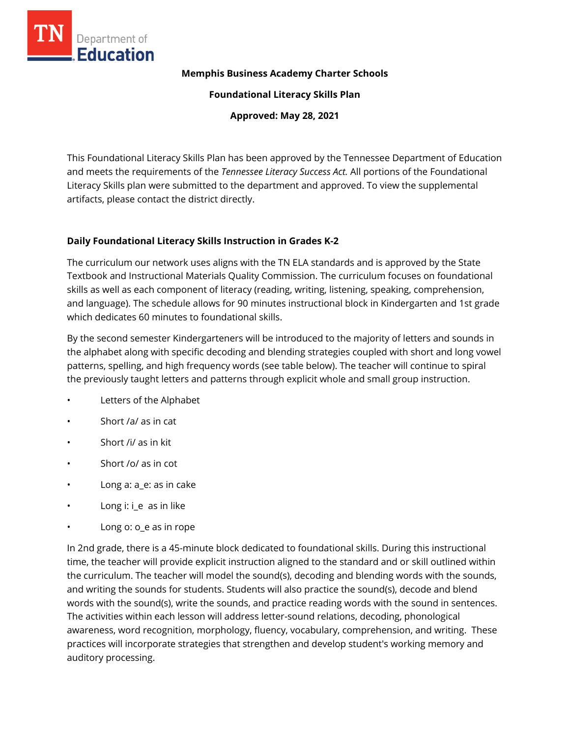

#### **Memphis Business Academy Charter Schools**

**Foundational Literacy Skills Plan**

**Approved: May 28, 2021**

This Foundational Literacy Skills Plan has been approved by the Tennessee Department of Education and meets the requirements of the *Tennessee Literacy Success Act.* All portions of the Foundational Literacy Skills plan were submitted to the department and approved. To view the supplemental artifacts, please contact the district directly.

### **Daily Foundational Literacy Skills Instruction in Grades K-2**

The curriculum our network uses aligns with the TN ELA standards and is approved by the State Textbook and Instructional Materials Quality Commission. The curriculum focuses on foundational skills as well as each component of literacy (reading, writing, listening, speaking, comprehension, and language). The schedule allows for 90 minutes instructional block in Kindergarten and 1st grade which dedicates 60 minutes to foundational skills.

By the second semester Kindergarteners will be introduced to the majority of letters and sounds in the alphabet along with specific decoding and blending strategies coupled with short and long vowel patterns, spelling, and high frequency words (see table below). The teacher will continue to spiral the previously taught letters and patterns through explicit whole and small group instruction.

- Letters of the Alphabet
- Short /a/ as in cat
- Short /i/ as in kit
- Short /o/ as in cot
- Long a: a\_e: as in cake
- Long i: i\_e as in like
- Long o: o\_e as in rope

In 2nd grade, there is a 45-minute block dedicated to foundational skills. During this instructional time, the teacher will provide explicit instruction aligned to the standard and or skill outlined within the curriculum. The teacher will model the sound(s), decoding and blending words with the sounds, and writing the sounds for students. Students will also practice the sound(s), decode and blend words with the sound(s), write the sounds, and practice reading words with the sound in sentences. The activities within each lesson will address letter-sound relations, decoding, phonological awareness, word recognition, morphology, fluency, vocabulary, comprehension, and writing. These practices will incorporate strategies that strengthen and develop student's working memory and auditory processing.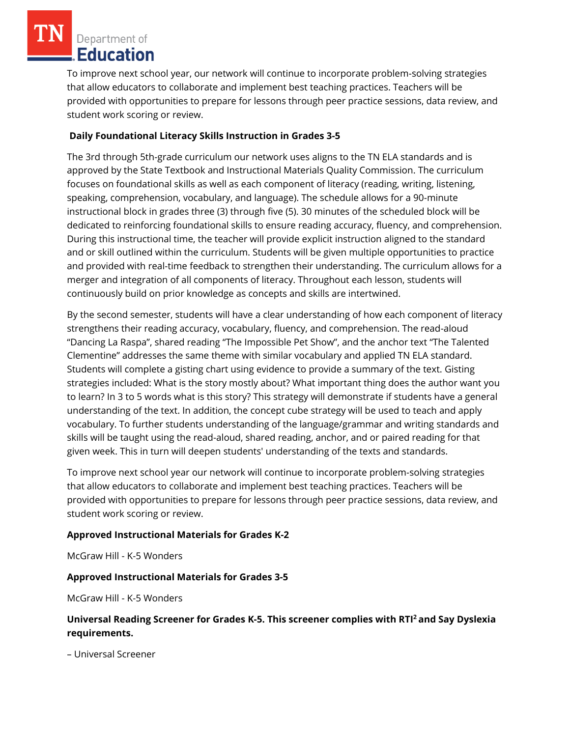To improve next school year, our network will continue to incorporate problem-solving strategies that allow educators to collaborate and implement best teaching practices. Teachers will be provided with opportunities to prepare for lessons through peer practice sessions, data review, and student work scoring or review.

## **Daily Foundational Literacy Skills Instruction in Grades 3-5**

The 3rd through 5th-grade curriculum our network uses aligns to the TN ELA standards and is approved by the State Textbook and Instructional Materials Quality Commission. The curriculum focuses on foundational skills as well as each component of literacy (reading, writing, listening, speaking, comprehension, vocabulary, and language). The schedule allows for a 90-minute instructional block in grades three (3) through five (5). 30 minutes of the scheduled block will be dedicated to reinforcing foundational skills to ensure reading accuracy, fluency, and comprehension. During this instructional time, the teacher will provide explicit instruction aligned to the standard and or skill outlined within the curriculum. Students will be given multiple opportunities to practice and provided with real-time feedback to strengthen their understanding. The curriculum allows for a merger and integration of all components of literacy. Throughout each lesson, students will continuously build on prior knowledge as concepts and skills are intertwined.

By the second semester, students will have a clear understanding of how each component of literacy strengthens their reading accuracy, vocabulary, fluency, and comprehension. The read-aloud "Dancing La Raspa", shared reading "The Impossible Pet Show", and the anchor text "The Talented Clementine" addresses the same theme with similar vocabulary and applied TN ELA standard. Students will complete a gisting chart using evidence to provide a summary of the text. Gisting strategies included: What is the story mostly about? What important thing does the author want you to learn? In 3 to 5 words what is this story? This strategy will demonstrate if students have a general understanding of the text. In addition, the concept cube strategy will be used to teach and apply vocabulary. To further students understanding of the language/grammar and writing standards and skills will be taught using the read-aloud, shared reading, anchor, and or paired reading for that given week. This in turn will deepen students' understanding of the texts and standards.

To improve next school year our network will continue to incorporate problem-solving strategies that allow educators to collaborate and implement best teaching practices. Teachers will be provided with opportunities to prepare for lessons through peer practice sessions, data review, and student work scoring or review.

### **Approved Instructional Materials for Grades K-2**

McGraw Hill - K-5 Wonders

### **Approved Instructional Materials for Grades 3-5**

McGraw Hill - K-5 Wonders

## **Universal Reading Screener for Grades K-5. This screener complies with RTI<sup>2</sup>and Say Dyslexia requirements.**

– Universal Screener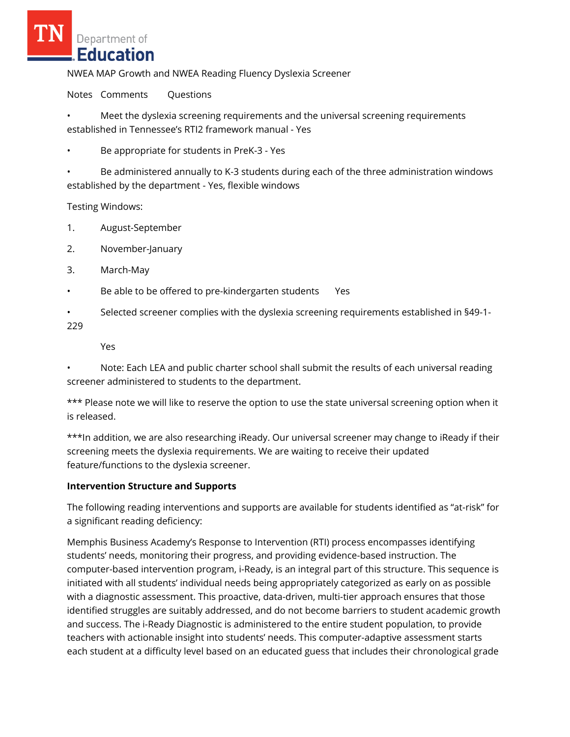NWEA MAP Growth and NWEA Reading Fluency Dyslexia Screener

Notes Comments Questions

• Meet the dyslexia screening requirements and the universal screening requirements established in Tennessee's RTI2 framework manual - Yes

• Be appropriate for students in PreK-3 - Yes

• Be administered annually to K-3 students during each of the three administration windows established by the department - Yes, flexible windows

Testing Windows:

- 1. August-September
- 2. November-January
- 3. March-May
- Be able to be offered to pre-kindergarten students Yes
- Selected screener complies with the dyslexia screening requirements established in §49-1-

229

Yes

• Note: Each LEA and public charter school shall submit the results of each universal reading screener administered to students to the department.

\*\*\* Please note we will like to reserve the option to use the state universal screening option when it is released.

\*\*\*In addition, we are also researching iReady. Our universal screener may change to iReady if their screening meets the dyslexia requirements. We are waiting to receive their updated feature/functions to the dyslexia screener.

### **Intervention Structure and Supports**

The following reading interventions and supports are available for students identified as "at-risk" for a significant reading deficiency:

Memphis Business Academy's Response to Intervention (RTI) process encompasses identifying students' needs, monitoring their progress, and providing evidence-based instruction. The computer-based intervention program, i-Ready, is an integral part of this structure. This sequence is initiated with all students' individual needs being appropriately categorized as early on as possible with a diagnostic assessment. This proactive, data-driven, multi-tier approach ensures that those identified struggles are suitably addressed, and do not become barriers to student academic growth and success. The i-Ready Diagnostic is administered to the entire student population, to provide teachers with actionable insight into students' needs. This computer-adaptive assessment starts each student at a difficulty level based on an educated guess that includes their chronological grade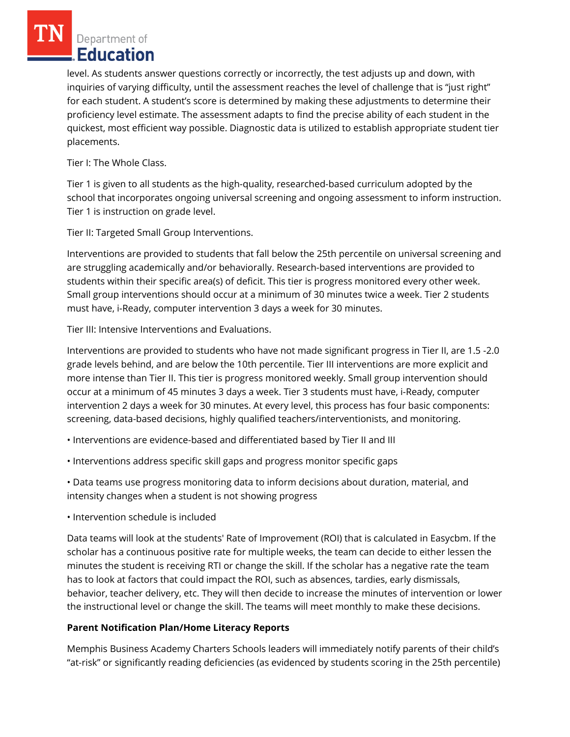level. As students answer questions correctly or incorrectly, the test adjusts up and down, with inquiries of varying difficulty, until the assessment reaches the level of challenge that is "just right" for each student. A student's score is determined by making these adjustments to determine their proficiency level estimate. The assessment adapts to find the precise ability of each student in the quickest, most efficient way possible. Diagnostic data is utilized to establish appropriate student tier placements.

Tier I: The Whole Class.

Tier 1 is given to all students as the high-quality, researched-based curriculum adopted by the school that incorporates ongoing universal screening and ongoing assessment to inform instruction. Tier 1 is instruction on grade level.

Tier II: Targeted Small Group Interventions.

Interventions are provided to students that fall below the 25th percentile on universal screening and are struggling academically and/or behaviorally. Research-based interventions are provided to students within their specific area(s) of deficit. This tier is progress monitored every other week. Small group interventions should occur at a minimum of 30 minutes twice a week. Tier 2 students must have, i-Ready, computer intervention 3 days a week for 30 minutes.

Tier III: Intensive Interventions and Evaluations.

Interventions are provided to students who have not made significant progress in Tier II, are 1.5 -2.0 grade levels behind, and are below the 10th percentile. Tier III interventions are more explicit and more intense than Tier II. This tier is progress monitored weekly. Small group intervention should occur at a minimum of 45 minutes 3 days a week. Tier 3 students must have, i-Ready, computer intervention 2 days a week for 30 minutes. At every level, this process has four basic components: screening, data-based decisions, highly qualified teachers/interventionists, and monitoring.

- Interventions are evidence-based and differentiated based by Tier II and III
- Interventions address specific skill gaps and progress monitor specific gaps

• Data teams use progress monitoring data to inform decisions about duration, material, and intensity changes when a student is not showing progress

• Intervention schedule is included

Data teams will look at the students' Rate of Improvement (ROI) that is calculated in Easycbm. If the scholar has a continuous positive rate for multiple weeks, the team can decide to either lessen the minutes the student is receiving RTI or change the skill. If the scholar has a negative rate the team has to look at factors that could impact the ROI, such as absences, tardies, early dismissals, behavior, teacher delivery, etc. They will then decide to increase the minutes of intervention or lower the instructional level or change the skill. The teams will meet monthly to make these decisions.

### **Parent Notification Plan/Home Literacy Reports**

Memphis Business Academy Charters Schools leaders will immediately notify parents of their child's "at-risk" or significantly reading deficiencies (as evidenced by students scoring in the 25th percentile)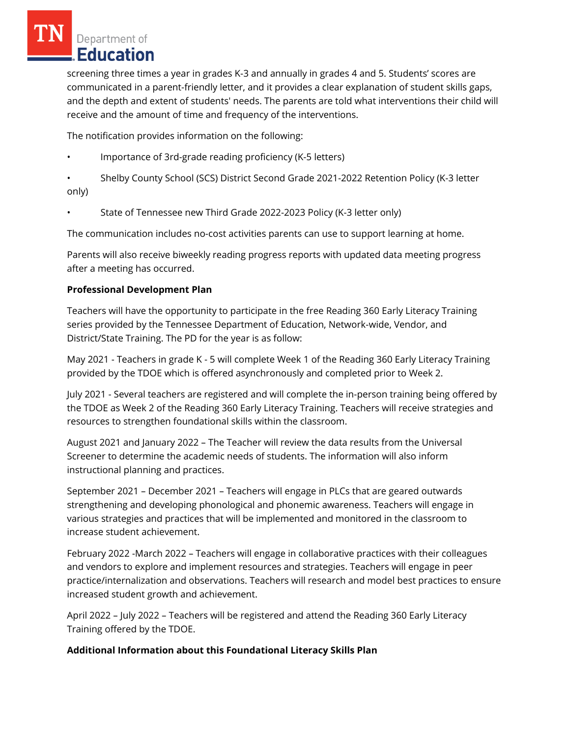screening three times a year in grades K-3 and annually in grades 4 and 5. Students' scores are communicated in a parent-friendly letter, and it provides a clear explanation of student skills gaps, and the depth and extent of students' needs. The parents are told what interventions their child will receive and the amount of time and frequency of the interventions.

The notification provides information on the following:

• Importance of 3rd-grade reading proficiency (K-5 letters)

• Shelby County School (SCS) District Second Grade 2021-2022 Retention Policy (K-3 letter only)

• State of Tennessee new Third Grade 2022-2023 Policy (K-3 letter only)

The communication includes no-cost activities parents can use to support learning at home.

Parents will also receive biweekly reading progress reports with updated data meeting progress after a meeting has occurred.

## **Professional Development Plan**

Teachers will have the opportunity to participate in the free Reading 360 Early Literacy Training series provided by the Tennessee Department of Education, Network-wide, Vendor, and District/State Training. The PD for the year is as follow:

May 2021 - Teachers in grade K - 5 will complete Week 1 of the Reading 360 Early Literacy Training provided by the TDOE which is offered asynchronously and completed prior to Week 2.

July 2021 - Several teachers are registered and will complete the in-person training being offered by the TDOE as Week 2 of the Reading 360 Early Literacy Training. Teachers will receive strategies and resources to strengthen foundational skills within the classroom.

August 2021 and January 2022 – The Teacher will review the data results from the Universal Screener to determine the academic needs of students. The information will also inform instructional planning and practices.

September 2021 – December 2021 – Teachers will engage in PLCs that are geared outwards strengthening and developing phonological and phonemic awareness. Teachers will engage in various strategies and practices that will be implemented and monitored in the classroom to increase student achievement.

February 2022 -March 2022 – Teachers will engage in collaborative practices with their colleagues and vendors to explore and implement resources and strategies. Teachers will engage in peer practice/internalization and observations. Teachers will research and model best practices to ensure increased student growth and achievement.

April 2022 – July 2022 – Teachers will be registered and attend the Reading 360 Early Literacy Training offered by the TDOE.

# **Additional Information about this Foundational Literacy Skills Plan**